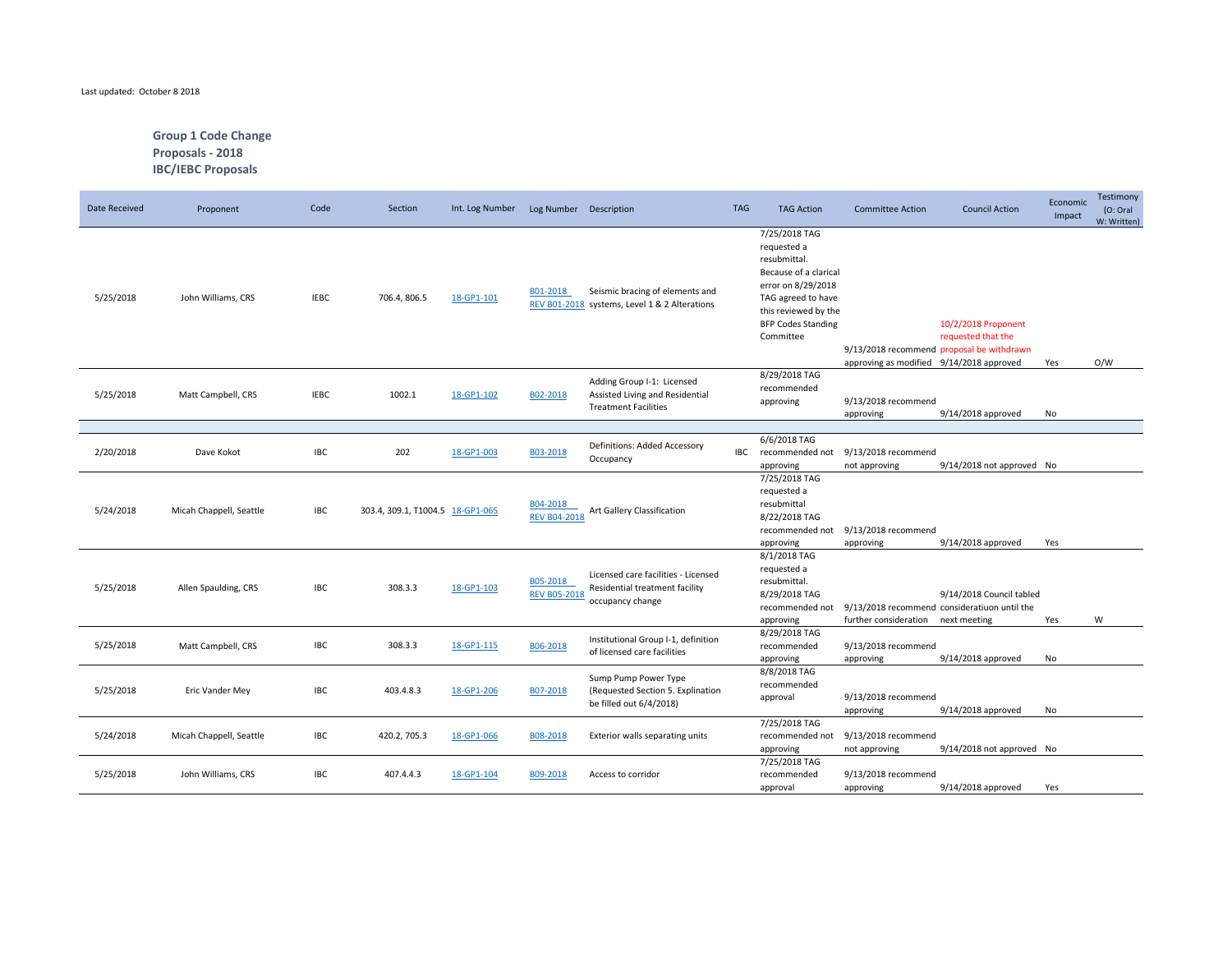## Last updated: October 8 2018

## **Group 1 Code Change Proposals - 2018 IBC/IEBC Proposals**

| Date Received | Proponent               | Code        | Section                          | Int. Log Number | Log Number Description          |                                                                                              | <b>TAG</b> | <b>TAG Action</b>                                                                                                                                                                   | <b>Committee Action</b>                  | <b>Council Action</b>                                                                    | Economic<br>Impact | Testimony<br>(O: Oral)<br>W: Written) |
|---------------|-------------------------|-------------|----------------------------------|-----------------|---------------------------------|----------------------------------------------------------------------------------------------|------------|-------------------------------------------------------------------------------------------------------------------------------------------------------------------------------------|------------------------------------------|------------------------------------------------------------------------------------------|--------------------|---------------------------------------|
| 5/25/2018     | John Williams, CRS      | <b>IEBC</b> | 706.4, 806.5                     | 18-GP1-101      | B01-2018                        | Seismic bracing of elements and<br>REV B01-2018 systems, Level 1 & 2 Alterations             |            | 7/25/2018 TAG<br>requested a<br>resubmittal.<br>Because of a clarical<br>error on 8/29/2018<br>TAG agreed to have<br>this reviewed by the<br><b>BFP Codes Standing</b><br>Committee | approving as modified 9/14/2018 approved | 10/2/2018 Proponent<br>requested that the<br>9/13/2018 recommend proposal be withdrawn   | Yes                | O/W                                   |
| 5/25/2018     | Matt Campbell, CRS      | <b>IEBC</b> | 1002.1                           | 18-GP1-102      | B02-2018                        | Adding Group I-1: Licensed<br>Assisted Living and Residential<br><b>Treatment Facilities</b> |            | 8/29/2018 TAG<br>recommended<br>approving                                                                                                                                           | 9/13/2018 recommend<br>approving         | 9/14/2018 approved                                                                       | No                 |                                       |
| 2/20/2018     | Dave Kokot              | IBC         | 202                              | 18-GP1-003      | B03-2018                        | Definitions: Added Accessory<br>Occupancy                                                    | IBC        | 6/6/2018 TAG<br>recommended not<br>approving                                                                                                                                        | 9/13/2018 recommend<br>not approving     | 9/14/2018 not approved No                                                                |                    |                                       |
| 5/24/2018     | Micah Chappell, Seattle | IBC         | 303.4, 309.1, T1004.5 18-GP1-065 |                 | B04-2018<br><b>REV B04-2018</b> | Art Gallery Classification                                                                   |            | 7/25/2018 TAG<br>requested a<br>resubmittal<br>8/22/2018 TAG<br>recommended not<br>approving                                                                                        | 9/13/2018 recommend<br>approving         | 9/14/2018 approved                                                                       | Yes                |                                       |
| 5/25/2018     | Allen Spaulding, CRS    | <b>IBC</b>  | 308.3.3                          | 18-GP1-103      | B05-2018<br><b>REV B05-2018</b> | Licensed care facilities - Licensed<br>Residential treatment facility<br>occupancy change    |            | 8/1/2018 TAG<br>requested a<br>resubmittal.<br>8/29/2018 TAG<br>recommended not<br>approving                                                                                        | further consideration                    | 9/14/2018 Council tabled<br>9/13/2018 recommend consideratiuon until the<br>next meeting | Yes                | W                                     |
| 5/25/2018     | Matt Campbell, CRS      | IBC         | 308.3.3                          | 18-GP1-115      | B06-2018                        | Institutional Group I-1, definition<br>of licensed care facilities                           |            | 8/29/2018 TAG<br>recommended<br>approving                                                                                                                                           | 9/13/2018 recommend<br>approving         | 9/14/2018 approved                                                                       | No                 |                                       |
| 5/25/2018     | Eric Vander Mey         | <b>IBC</b>  | 403.4.8.3                        | 18-GP1-206      | B07-2018                        | Sump Pump Power Type<br>(Requested Section 5. Explination<br>be filled out 6/4/2018)         |            | 8/8/2018 TAG<br>recommended<br>approval                                                                                                                                             | 9/13/2018 recommend<br>approving         | 9/14/2018 approved                                                                       | No                 |                                       |
| 5/24/2018     | Micah Chappell, Seattle | IBC         | 420.2, 705.3                     | 18-GP1-066      | B08-2018                        | Exterior walls separating units                                                              |            | 7/25/2018 TAG<br>recommended not<br>approving                                                                                                                                       | 9/13/2018 recommend<br>not approving     | 9/14/2018 not approved No                                                                |                    |                                       |
| 5/25/2018     | John Williams, CRS      | <b>IBC</b>  | 407.4.4.3                        | 18-GP1-104      | B09-2018                        | Access to corridor                                                                           |            | 7/25/2018 TAG<br>recommended<br>approval                                                                                                                                            | 9/13/2018 recommend<br>approving         | 9/14/2018 approved                                                                       | Yes                |                                       |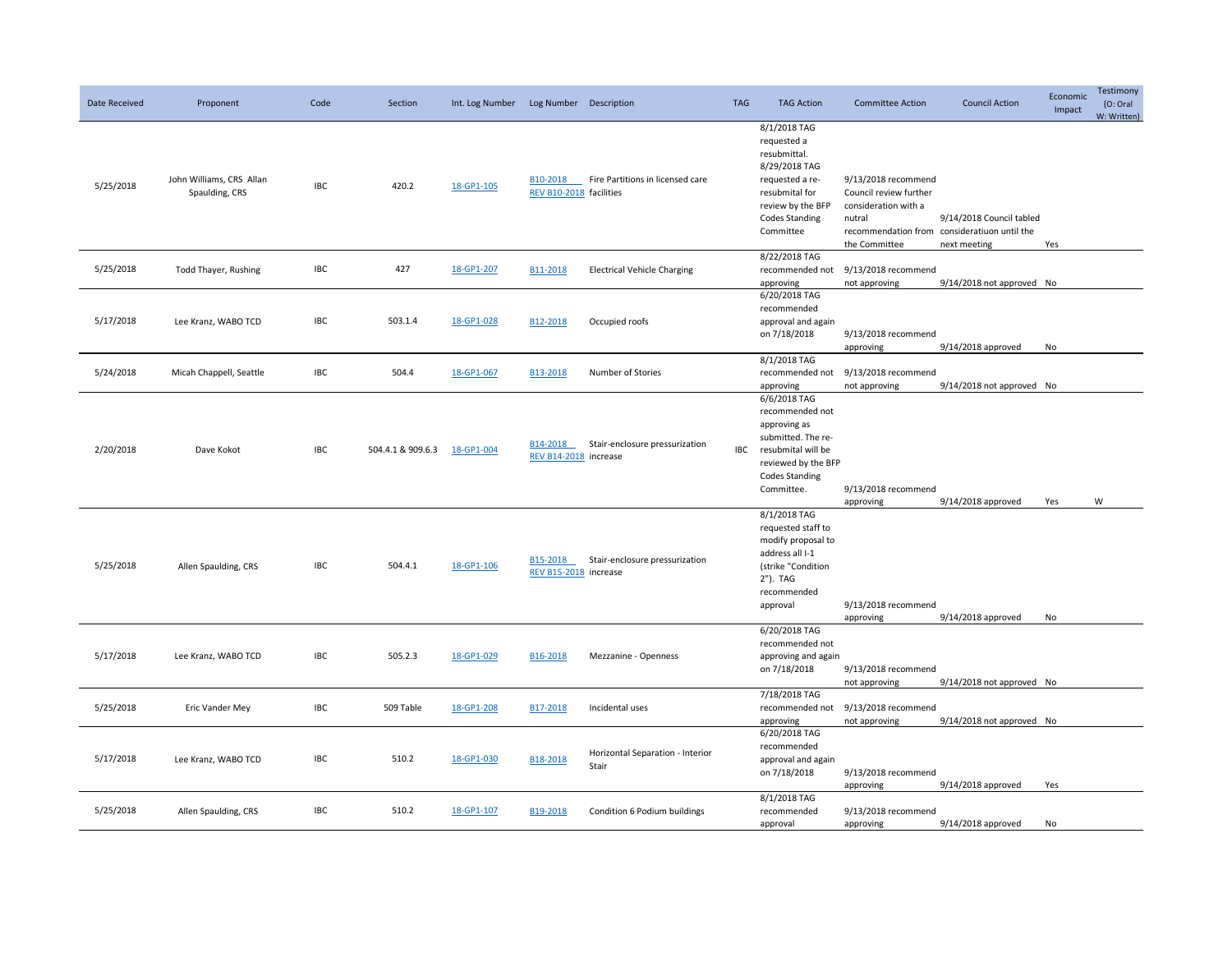| Date Received | Proponent                                  | Code       | Section                      | Int. Log Number | Log Number Description            |                                           | <b>TAG</b> | <b>TAG Action</b>                                                                                                                                            | <b>Committee Action</b>                                                                          | <b>Council Action</b>                                                                    | Economic<br>Impact | Testimony<br>(O: Oral)<br>W: Written) |
|---------------|--------------------------------------------|------------|------------------------------|-----------------|-----------------------------------|-------------------------------------------|------------|--------------------------------------------------------------------------------------------------------------------------------------------------------------|--------------------------------------------------------------------------------------------------|------------------------------------------------------------------------------------------|--------------------|---------------------------------------|
| 5/25/2018     | John Williams, CRS Allan<br>Spaulding, CRS | <b>IBC</b> | 420.2                        | 18-GP1-105      | REV B10-2018 facilities           | B10-2018 Fire Partitions in licensed care |            | 8/1/2018 TAG<br>requested a<br>resubmittal.<br>8/29/2018 TAG<br>requested a re-<br>resubmital for<br>review by the BFP<br><b>Codes Standing</b><br>Committee | 9/13/2018 recommend<br>Council review further<br>consideration with a<br>nutral<br>the Committee | 9/14/2018 Council tabled<br>recommendation from consideratiuon until the<br>next meeting | Yes                |                                       |
| 5/25/2018     | Todd Thayer, Rushing                       | IBC        | 427                          | 18-GP1-207      | B11-2018                          | <b>Electrical Vehicle Charging</b>        |            | 8/22/2018 TAG<br>recommended not<br>approving                                                                                                                | 9/13/2018 recommend<br>not approving                                                             | 9/14/2018 not approved No                                                                |                    |                                       |
| 5/17/2018     | Lee Kranz, WABO TCD                        | IBC        | 503.1.4                      | 18-GP1-028      | B12-2018                          | Occupied roofs                            |            | 6/20/2018 TAG<br>recommended<br>approval and again<br>on 7/18/2018                                                                                           | 9/13/2018 recommend<br>approving                                                                 | 9/14/2018 approved                                                                       | No                 |                                       |
| 5/24/2018     | Micah Chappell, Seattle                    | IBC        | 504.4                        | 18-GP1-067      | B13-2018                          | Number of Stories                         |            | 8/1/2018 TAG<br>approving                                                                                                                                    | recommended not 9/13/2018 recommend<br>not approving                                             | 9/14/2018 not approved No                                                                |                    |                                       |
| 2/20/2018     | Dave Kokot                                 | <b>IBC</b> | 504.4.1 & 909.6.3 18-GP1-004 |                 | B14-2018<br>REV B14-2018 increase | Stair-enclosure pressurization            | IBC        | 6/6/2018 TAG<br>recommended not<br>approving as<br>submitted. The re-<br>resubmital will be<br>reviewed by the BFP<br><b>Codes Standing</b><br>Committee.    | 9/13/2018 recommend<br>approving                                                                 | 9/14/2018 approved                                                                       | Yes                | W                                     |
| 5/25/2018     | Allen Spaulding, CRS                       | <b>IBC</b> | 504.4.1                      | 18-GP1-106      | B15-2018<br>REV B15-2018 increase | Stair-enclosure pressurization            |            | 8/1/2018 TAG<br>requested staff to<br>modify proposal to<br>address all I-1<br>(strike "Condition<br>2"). TAG<br>recommended<br>approval                     | 9/13/2018 recommend<br>approving                                                                 | 9/14/2018 approved                                                                       | No                 |                                       |
| 5/17/2018     | Lee Kranz, WABO TCD                        | <b>IBC</b> | 505.2.3                      | 18-GP1-029      | B16-2018                          | Mezzanine - Openness                      |            | 6/20/2018 TAG<br>recommended not<br>approving and again<br>on 7/18/2018                                                                                      | 9/13/2018 recommend<br>not approving                                                             | 9/14/2018 not approved No                                                                |                    |                                       |
| 5/25/2018     | Eric Vander Mey                            | <b>IBC</b> | 509 Table                    | 18-GP1-208      | B17-2018                          | Incidental uses                           |            | 7/18/2018 TAG<br>recommended not<br>approving                                                                                                                | 9/13/2018 recommend<br>not approving                                                             | 9/14/2018 not approved No                                                                |                    |                                       |
| 5/17/2018     | Lee Kranz, WABO TCD                        | <b>IBC</b> | 510.2                        | 18-GP1-030      | B18-2018                          | Horizontal Separation - Interior<br>Stair |            | 6/20/2018 TAG<br>recommended<br>approval and again<br>on 7/18/2018                                                                                           | 9/13/2018 recommend<br>approving                                                                 | $9/14/2018$ approved                                                                     | Yes                |                                       |
| 5/25/2018     | Allen Spaulding, CRS                       | <b>IBC</b> | 510.2                        | 18-GP1-107      | B19-2018                          | Condition 6 Podium buildings              |            | 8/1/2018 TAG<br>recommended<br>approval                                                                                                                      | 9/13/2018 recommend<br>approving                                                                 | 9/14/2018 approved                                                                       | No                 |                                       |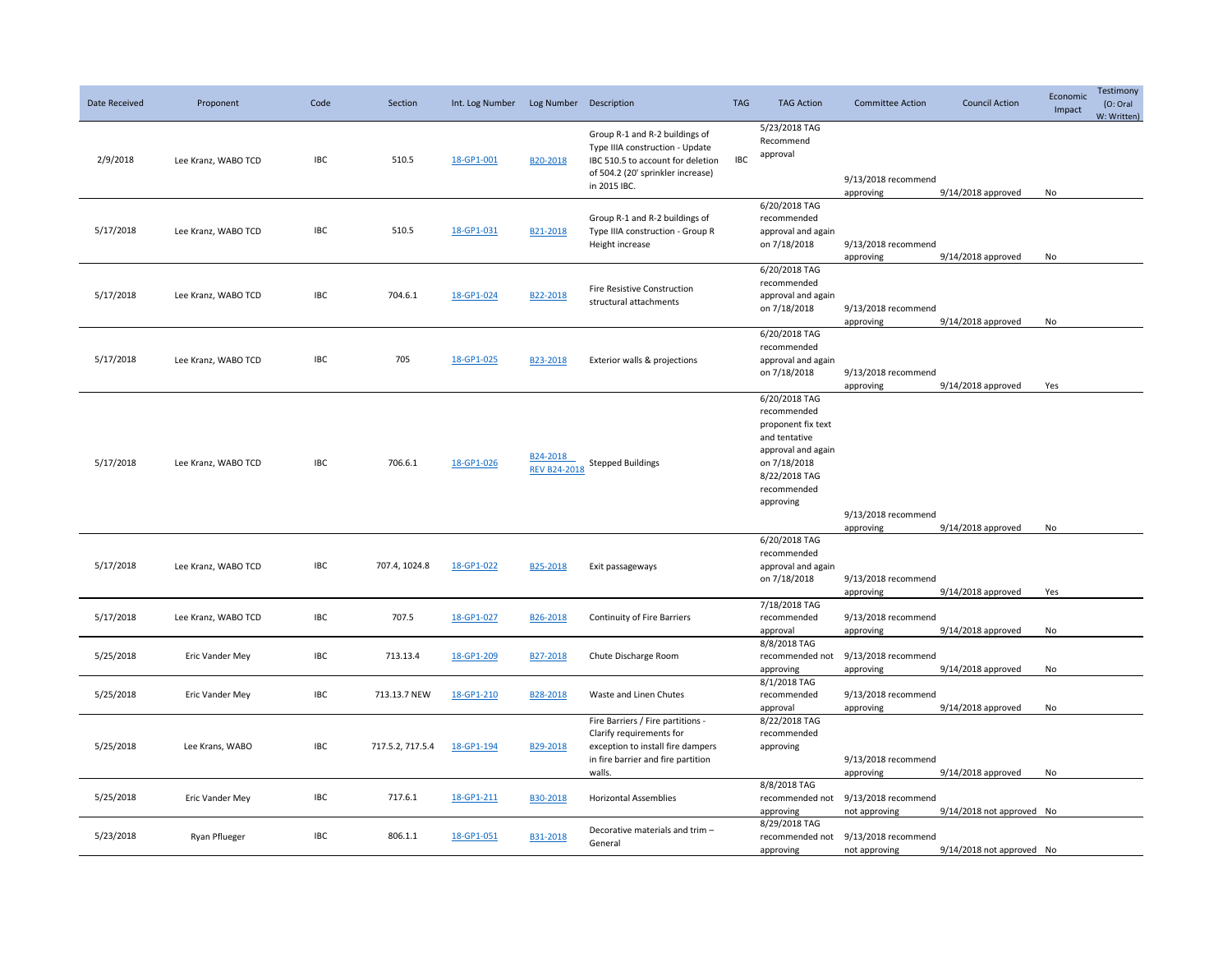| Date Received | Proponent           | Code       | Section          | Int. Log Number | Log Number Description          |                                                                                                                                                             | <b>TAG</b> | <b>TAG Action</b>                                                                                                                                      | <b>Committee Action</b>                                              | <b>Council Action</b>                    | Economic<br>Impact | Testimony<br>(O: Oral<br>W: Written) |
|---------------|---------------------|------------|------------------|-----------------|---------------------------------|-------------------------------------------------------------------------------------------------------------------------------------------------------------|------------|--------------------------------------------------------------------------------------------------------------------------------------------------------|----------------------------------------------------------------------|------------------------------------------|--------------------|--------------------------------------|
| 2/9/2018      | Lee Kranz, WABO TCD | <b>IBC</b> | 510.5            | 18-GP1-001      | B20-2018                        | Group R-1 and R-2 buildings of<br>Type IIIA construction - Update<br>IBC 510.5 to account for deletion<br>of 504.2 (20' sprinkler increase)<br>in 2015 IBC. | <b>IBC</b> | 5/23/2018 TAG<br>Recommend<br>approval                                                                                                                 | 9/13/2018 recommend                                                  |                                          |                    |                                      |
| 5/17/2018     | Lee Kranz, WABO TCD | IBC        | 510.5            | 18-GP1-031      | B21-2018                        | Group R-1 and R-2 buildings of<br>Type IIIA construction - Group R<br>Height increase                                                                       |            | 6/20/2018 TAG<br>recommended<br>approval and again<br>on 7/18/2018                                                                                     | approving<br>9/13/2018 recommend<br>approving                        | 9/14/2018 approved<br>9/14/2018 approved | No<br>No           |                                      |
| 5/17/2018     | Lee Kranz, WABO TCD | <b>IBC</b> | 704.6.1          | 18-GP1-024      | B22-2018                        | Fire Resistive Construction<br>structural attachments                                                                                                       |            | 6/20/2018 TAG<br>recommended<br>approval and again<br>on 7/18/2018                                                                                     | 9/13/2018 recommend<br>approving                                     | 9/14/2018 approved                       | <b>No</b>          |                                      |
| 5/17/2018     | Lee Kranz, WABO TCD | <b>IBC</b> | 705              | 18-GP1-025      | B23-2018                        | Exterior walls & projections                                                                                                                                |            | 6/20/2018 TAG<br>recommended<br>approval and again<br>on 7/18/2018                                                                                     | 9/13/2018 recommend<br>approving                                     | 9/14/2018 approved                       | Yes                |                                      |
| 5/17/2018     | Lee Kranz, WABO TCD | IBC        | 706.6.1          | 18-GP1-026      | B24-2018<br><b>REV B24-2018</b> | <b>Stepped Buildings</b>                                                                                                                                    |            | 6/20/2018 TAG<br>recommended<br>proponent fix text<br>and tentative<br>approval and again<br>on 7/18/2018<br>8/22/2018 TAG<br>recommended<br>approving |                                                                      |                                          |                    |                                      |
| 5/17/2018     | Lee Kranz, WABO TCD | IBC        | 707.4, 1024.8    | 18-GP1-022      | B25-2018                        | Exit passageways                                                                                                                                            |            | 6/20/2018 TAG<br>recommended<br>approval and again<br>on 7/18/2018                                                                                     | 9/13/2018 recommend<br>approving<br>9/13/2018 recommend<br>approving | 9/14/2018 approved<br>9/14/2018 approved | No<br>Yes          |                                      |
| 5/17/2018     | Lee Kranz, WABO TCD | <b>IBC</b> | 707.5            | 18-GP1-027      | B26-2018                        | Continuity of Fire Barriers                                                                                                                                 |            | 7/18/2018 TAG<br>recommended<br>approval                                                                                                               | 9/13/2018 recommend<br>approving                                     | 9/14/2018 approved                       | No                 |                                      |
| 5/25/2018     | Eric Vander Mey     | IBC        | 713.13.4         | 18-GP1-209      | B27-2018                        | Chute Discharge Room                                                                                                                                        |            | 8/8/2018 TAG<br>approving                                                                                                                              | recommended not 9/13/2018 recommend<br>approving                     | 9/14/2018 approved                       | No                 |                                      |
| 5/25/2018     | Eric Vander Mey     | <b>IBC</b> | 713.13.7 NEW     | 18-GP1-210      | B28-2018                        | Waste and Linen Chutes                                                                                                                                      |            | 8/1/2018 TAG<br>recommended<br>approval                                                                                                                | 9/13/2018 recommend<br>approving                                     | 9/14/2018 approved                       | No                 |                                      |
| 5/25/2018     | Lee Krans, WABO     | IBC        | 717.5.2, 717.5.4 | 18-GP1-194      | B29-2018                        | Fire Barriers / Fire partitions -<br>Clarify requirements for<br>exception to install fire dampers<br>in fire barrier and fire partition<br>walls.          |            | 8/22/2018 TAG<br>recommended<br>approving                                                                                                              | 9/13/2018 recommend<br>approving                                     | 9/14/2018 approved                       | No                 |                                      |
| 5/25/2018     | Eric Vander Mey     | <b>IBC</b> | 717.6.1          | 18-GP1-211      | B30-2018                        | <b>Horizontal Assemblies</b>                                                                                                                                |            | 8/8/2018 TAG<br>approving                                                                                                                              | recommended not 9/13/2018 recommend<br>not approving                 | 9/14/2018 not approved No                |                    |                                      |
| 5/23/2018     | Ryan Pflueger       | IBC        | 806.1.1          | 18-GP1-051      | B31-2018                        | Decorative materials and trim -<br>General                                                                                                                  |            | 8/29/2018 TAG<br>recommended not<br>approving                                                                                                          | 9/13/2018 recommend<br>not approving                                 | 9/14/2018 not approved No                |                    |                                      |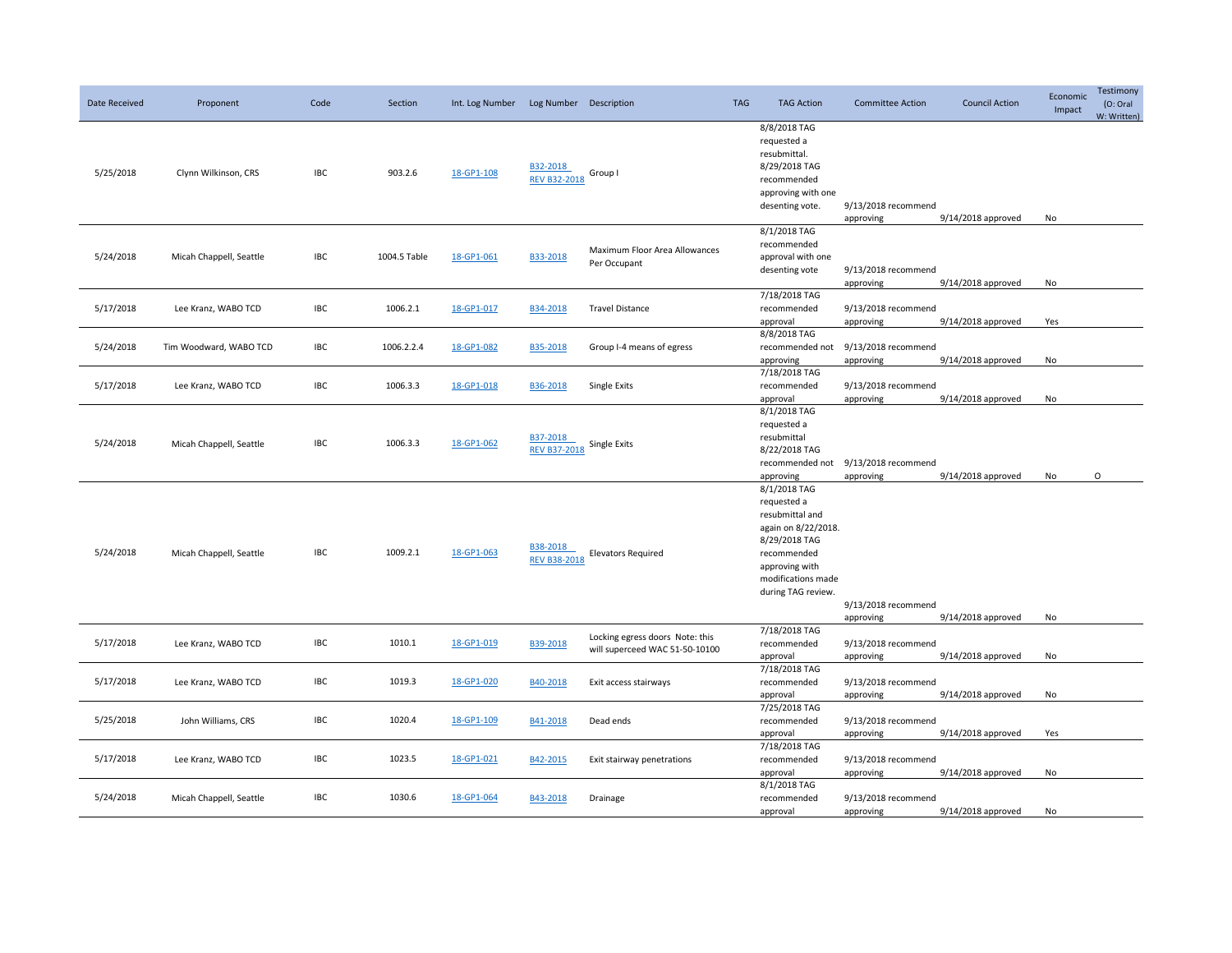| Date Received | Proponent               | Code       | Section      | Int. Log Number | Log Number Description          |                                                                   | <b>TAG</b> | <b>TAG Action</b>                                                                                                                                                   | <b>Committee Action</b>                          | <b>Council Action</b> | Economic<br>Impact | Testimony<br>(O: Oral<br>W: Written) |
|---------------|-------------------------|------------|--------------|-----------------|---------------------------------|-------------------------------------------------------------------|------------|---------------------------------------------------------------------------------------------------------------------------------------------------------------------|--------------------------------------------------|-----------------------|--------------------|--------------------------------------|
| 5/25/2018     | Clynn Wilkinson, CRS    | <b>IBC</b> | 903.2.6      | 18-GP1-108      | B32-2018<br><b>REV B32-2018</b> | Group I                                                           |            | 8/8/2018 TAG<br>requested a<br>resubmittal.<br>8/29/2018 TAG<br>recommended<br>approving with one<br>desenting vote.                                                | 9/13/2018 recommend<br>approving                 | 9/14/2018 approved    | No                 |                                      |
| 5/24/2018     | Micah Chappell, Seattle | IBC        | 1004.5 Table | 18-GP1-061      | B33-2018                        | Maximum Floor Area Allowances<br>Per Occupant                     |            | 8/1/2018 TAG<br>recommended<br>approval with one<br>desenting vote                                                                                                  | 9/13/2018 recommend<br>approving                 | 9/14/2018 approved    | No                 |                                      |
| 5/17/2018     | Lee Kranz, WABO TCD     | IBC        | 1006.2.1     | 18-GP1-017      | B34-2018                        | <b>Travel Distance</b>                                            |            | 7/18/2018 TAG<br>recommended<br>approval                                                                                                                            | 9/13/2018 recommend<br>approving                 | 9/14/2018 approved    | Yes                |                                      |
| 5/24/2018     | Tim Woodward, WABO TCD  | <b>IBC</b> | 1006.2.2.4   | 18-GP1-082      | B35-2018                        | Group I-4 means of egress                                         |            | 8/8/2018 TAG<br>recommended not<br>approving                                                                                                                        | 9/13/2018 recommend<br>approving                 | 9/14/2018 approved    | No                 |                                      |
| 5/17/2018     | Lee Kranz, WABO TCD     | IBC        | 1006.3.3     | 18-GP1-018      | B36-2018                        | Single Exits                                                      |            | 7/18/2018 TAG<br>recommended<br>approval                                                                                                                            | 9/13/2018 recommend<br>approving                 | 9/14/2018 approved    | No                 |                                      |
| 5/24/2018     | Micah Chappell, Seattle | <b>IBC</b> | 1006.3.3     | 18-GP1-062      | B37-2018<br><b>REV B37-2018</b> | Single Exits                                                      |            | 8/1/2018 TAG<br>requested a<br>resubmittal<br>8/22/2018 TAG<br>approving                                                                                            | recommended not 9/13/2018 recommend<br>approving | 9/14/2018 approved    | No                 | $\mathsf O$                          |
| 5/24/2018     | Micah Chappell, Seattle | <b>IBC</b> | 1009.2.1     | 18-GP1-063      | B38-2018<br><b>REV B38-2018</b> | <b>Elevators Required</b>                                         |            | 8/1/2018 TAG<br>requested a<br>resubmittal and<br>again on 8/22/2018.<br>8/29/2018 TAG<br>recommended<br>approving with<br>modifications made<br>during TAG review. | 9/13/2018 recommend<br>approving                 | 9/14/2018 approved    | No                 |                                      |
| 5/17/2018     | Lee Kranz, WABO TCD     | <b>IBC</b> | 1010.1       | 18-GP1-019      | B39-2018                        | Locking egress doors Note: this<br>will superceed WAC 51-50-10100 |            | 7/18/2018 TAG<br>recommended<br>approval                                                                                                                            | 9/13/2018 recommend<br>approving                 | 9/14/2018 approved    | No                 |                                      |
| 5/17/2018     | Lee Kranz, WABO TCD     | <b>IBC</b> | 1019.3       | 18-GP1-020      | B40-2018                        | Exit access stairways                                             |            | 7/18/2018 TAG<br>recommended<br>approval                                                                                                                            | 9/13/2018 recommend<br>approving                 | 9/14/2018 approved    | No                 |                                      |
| 5/25/2018     | John Williams, CRS      | <b>IBC</b> | 1020.4       | 18-GP1-109      | B41-2018                        | Dead ends                                                         |            | 7/25/2018 TAG<br>recommended<br>approval                                                                                                                            | 9/13/2018 recommend<br>approving                 | 9/14/2018 approved    | Yes                |                                      |
| 5/17/2018     | Lee Kranz, WABO TCD     | <b>IBC</b> | 1023.5       | 18-GP1-021      | B42-2015                        | Exit stairway penetrations                                        |            | 7/18/2018 TAG<br>recommended<br>approval                                                                                                                            | 9/13/2018 recommend<br>approving                 | 9/14/2018 approved    | No                 |                                      |
| 5/24/2018     | Micah Chappell, Seattle | IBC        | 1030.6       | 18-GP1-064      | B43-2018                        | Drainage                                                          |            | 8/1/2018 TAG<br>recommended<br>approval                                                                                                                             | 9/13/2018 recommend<br>approving                 | 9/14/2018 approved    | No                 |                                      |
|               |                         |            |              |                 |                                 |                                                                   |            |                                                                                                                                                                     |                                                  |                       |                    |                                      |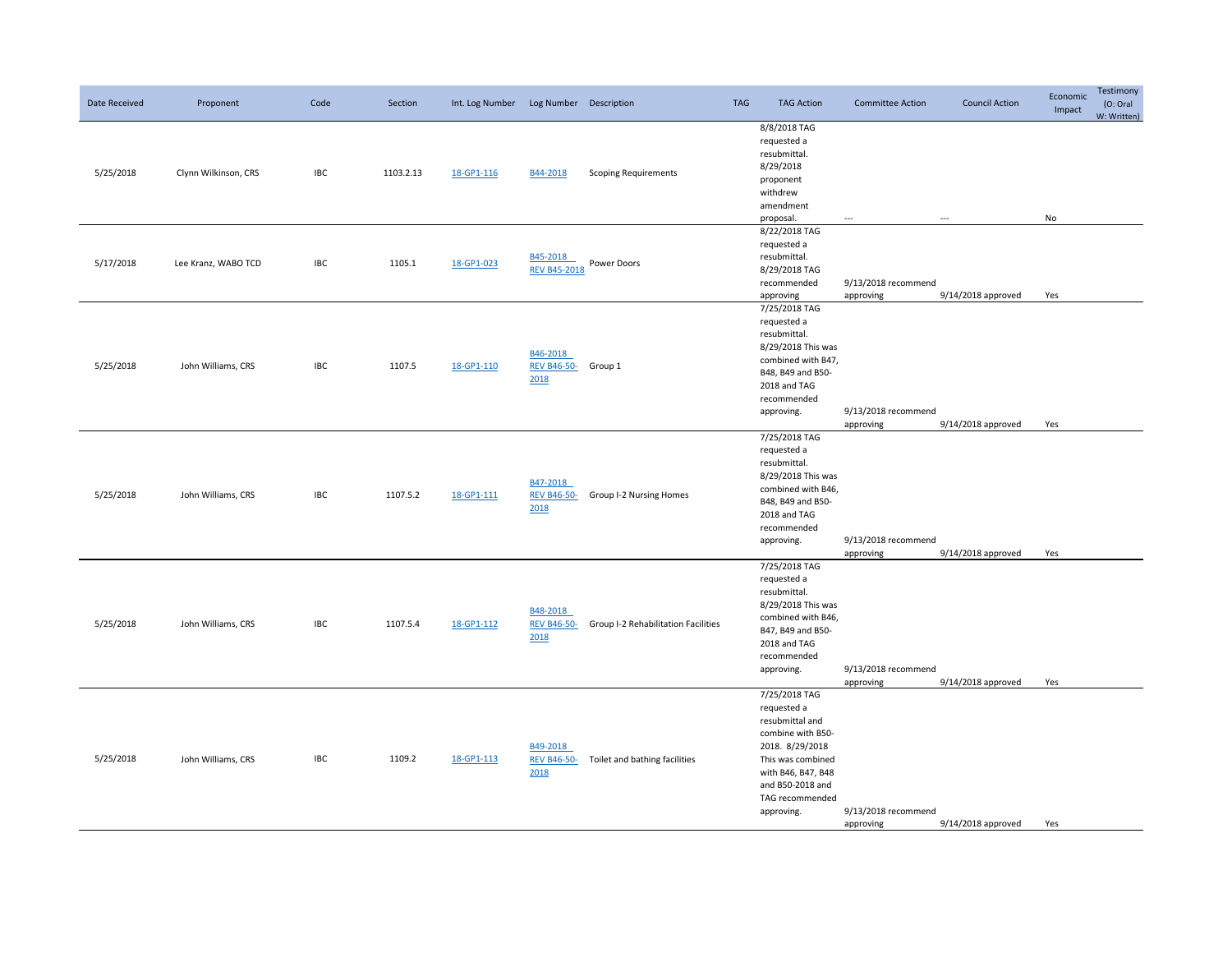| Date Received | Proponent            | Code       | Section   | Int. Log Number Log Number Description |                                         |                                     | <b>TAG</b> | <b>TAG Action</b>                                                                                                                                                                       | <b>Committee Action</b>          | <b>Council Action</b>   | Economic<br>Impact | Testimony<br>(O: Oral)<br>W: Written) |
|---------------|----------------------|------------|-----------|----------------------------------------|-----------------------------------------|-------------------------------------|------------|-----------------------------------------------------------------------------------------------------------------------------------------------------------------------------------------|----------------------------------|-------------------------|--------------------|---------------------------------------|
| 5/25/2018     | Clynn Wilkinson, CRS | <b>IBC</b> | 1103.2.13 | 18-GP1-116                             | B44-2018                                | <b>Scoping Requirements</b>         |            | 8/8/2018 TAG<br>requested a<br>resubmittal.<br>8/29/2018<br>proponent<br>withdrew<br>amendment<br>proposal.                                                                             | $\overline{\phantom{a}}$         | $\hspace{0.05cm}\ldots$ | No                 |                                       |
| 5/17/2018     | Lee Kranz, WABO TCD  | <b>IBC</b> | 1105.1    | 18-GP1-023                             | B45-2018<br><b>REV B45-2018</b>         | Power Doors                         |            | 8/22/2018 TAG<br>requested a<br>resubmittal.<br>8/29/2018 TAG<br>recommended<br>approving                                                                                               | 9/13/2018 recommend<br>approving | 9/14/2018 approved      | Yes                |                                       |
| 5/25/2018     | John Williams, CRS   | <b>IBC</b> | 1107.5    | 18-GP1-110                             | B46-2018<br>REV B46-50- Group 1<br>2018 |                                     |            | 7/25/2018 TAG<br>requested a<br>resubmittal.<br>8/29/2018 This was<br>combined with B47,<br>B48, B49 and B50-<br>2018 and TAG<br>recommended<br>approving.                              | 9/13/2018 recommend<br>approving | 9/14/2018 approved      | Yes                |                                       |
| 5/25/2018     | John Williams, CRS   | <b>IBC</b> | 1107.5.2  | 18-GP1-111                             | B47-2018<br><b>REV B46-50-</b><br>2018  | Group I-2 Nursing Homes             |            | 7/25/2018 TAG<br>requested a<br>resubmittal.<br>8/29/2018 This was<br>combined with B46,<br>B48, B49 and B50-<br>2018 and TAG<br>recommended<br>approving.                              | 9/13/2018 recommend<br>approving | 9/14/2018 approved      | Yes                |                                       |
| 5/25/2018     | John Williams, CRS   | IBC        | 1107.5.4  | 18-GP1-112                             | B48-2018<br><b>REV B46-50-</b><br>2018  | Group I-2 Rehabilitation Facilities |            | 7/25/2018 TAG<br>requested a<br>resubmittal.<br>8/29/2018 This was<br>combined with B46,<br>B47, B49 and B50-<br>2018 and TAG<br>recommended<br>approving.                              | 9/13/2018 recommend<br>approving | 9/14/2018 approved      | Yes                |                                       |
| 5/25/2018     | John Williams, CRS   | <b>IBC</b> | 1109.2    | 18-GP1-113                             | B49-2018<br><b>REV B46-50-</b><br>2018  | Toilet and bathing facilities       |            | 7/25/2018 TAG<br>requested a<br>resubmittal and<br>combine with B50-<br>2018. 8/29/2018<br>This was combined<br>with B46, B47, B48<br>and B50-2018 and<br>TAG recommended<br>approving. | 9/13/2018 recommend<br>approving | 9/14/2018 approved      | Yes                |                                       |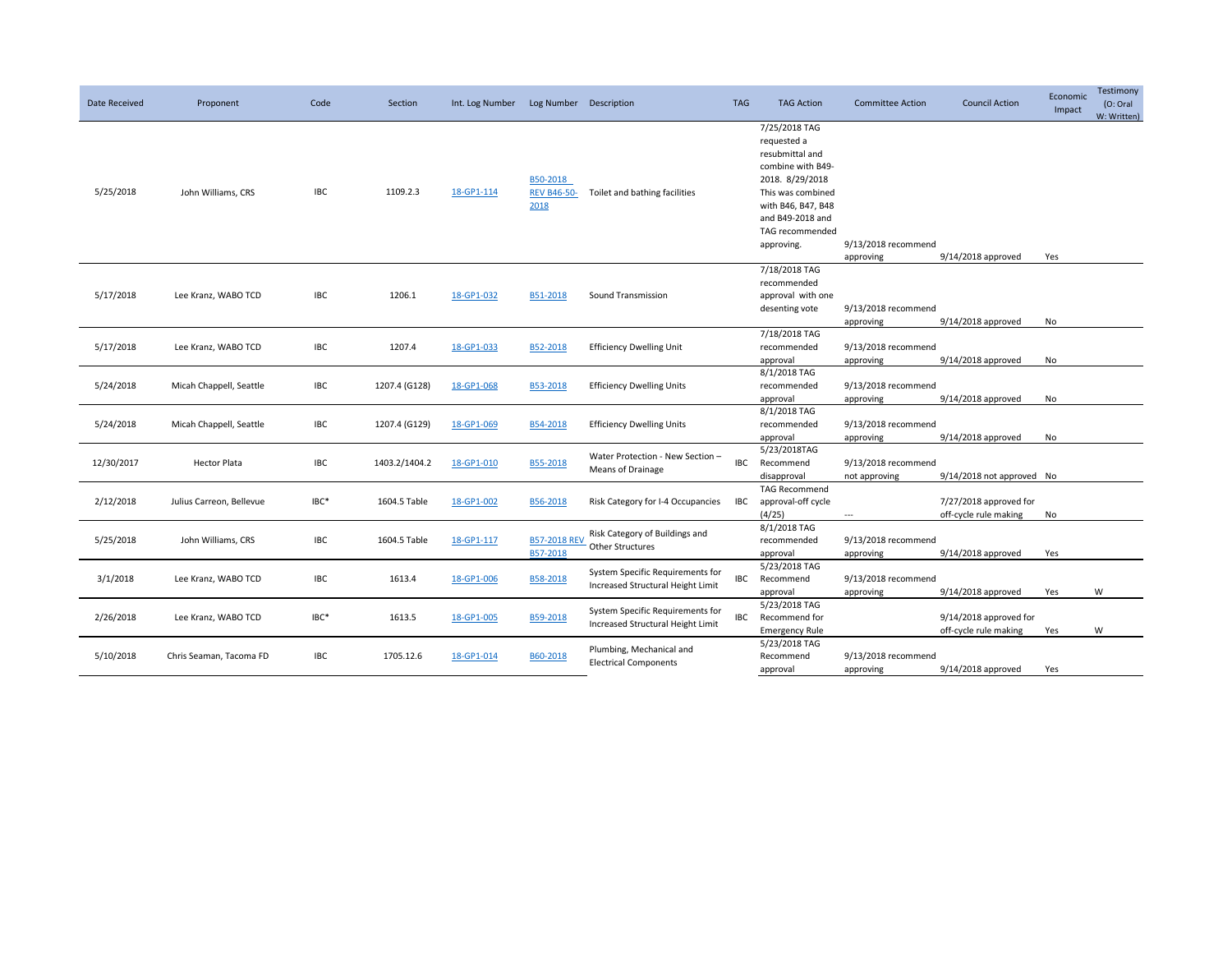| Date Received | Proponent                | Code       | Section       | Int. Log Number | Log Number Description                 |                                                                       | <b>TAG</b> | <b>TAG Action</b>                                                                                                                                                                       | <b>Committee Action</b>              | <b>Council Action</b>                           | Economic<br>Impact | Testimony<br>(O: Oral)<br>W: Written) |
|---------------|--------------------------|------------|---------------|-----------------|----------------------------------------|-----------------------------------------------------------------------|------------|-----------------------------------------------------------------------------------------------------------------------------------------------------------------------------------------|--------------------------------------|-------------------------------------------------|--------------------|---------------------------------------|
| 5/25/2018     | John Williams, CRS       | <b>IBC</b> | 1109.2.3      | 18-GP1-114      | B50-2018<br><b>REV B46-50-</b><br>2018 | Toilet and bathing facilities                                         |            | 7/25/2018 TAG<br>requested a<br>resubmittal and<br>combine with B49-<br>2018. 8/29/2018<br>This was combined<br>with B46, B47, B48<br>and B49-2018 and<br>TAG recommended<br>approving. | 9/13/2018 recommend<br>approving     | 9/14/2018 approved                              | Yes                |                                       |
| 5/17/2018     | Lee Kranz, WABO TCD      | <b>IBC</b> | 1206.1        | 18-GP1-032      | B51-2018                               | Sound Transmission                                                    |            | 7/18/2018 TAG<br>recommended<br>approval with one<br>desenting vote                                                                                                                     | 9/13/2018 recommend<br>approving     | 9/14/2018 approved                              | No                 |                                       |
| 5/17/2018     | Lee Kranz, WABO TCD      | IBC        | 1207.4        | 18-GP1-033      | B52-2018                               | <b>Efficiency Dwelling Unit</b>                                       |            | 7/18/2018 TAG<br>recommended<br>approval                                                                                                                                                | 9/13/2018 recommend<br>approving     | 9/14/2018 approved                              | No                 |                                       |
| 5/24/2018     | Micah Chappell, Seattle  | IBC        | 1207.4 (G128) | 18-GP1-068      | B53-2018                               | <b>Efficiency Dwelling Units</b>                                      |            | 8/1/2018 TAG<br>recommended<br>approval                                                                                                                                                 | 9/13/2018 recommend<br>approving     | 9/14/2018 approved                              | No                 |                                       |
| 5/24/2018     | Micah Chappell, Seattle  | <b>IBC</b> | 1207.4 (G129) | 18-GP1-069      | B54-2018                               | <b>Efficiency Dwelling Units</b>                                      |            | 8/1/2018 TAG<br>recommended<br>approval                                                                                                                                                 | 9/13/2018 recommend<br>approving     | 9/14/2018 approved                              | No                 |                                       |
| 12/30/2017    | <b>Hector Plata</b>      | IBC        | 1403.2/1404.2 | 18-GP1-010      | B55-2018                               | Water Protection - New Section -<br>Means of Drainage                 | IBC        | 5/23/2018TAG<br>Recommend<br>disapproval                                                                                                                                                | 9/13/2018 recommend<br>not approving | 9/14/2018 not approved No                       |                    |                                       |
| 2/12/2018     | Julius Carreon, Bellevue | IBC*       | 1604.5 Table  | 18-GP1-002      | B56-2018                               | Risk Category for I-4 Occupancies                                     | IBC        | <b>TAG Recommend</b><br>approval-off cycle<br>(4/25)                                                                                                                                    | $\overline{a}$                       | 7/27/2018 approved for<br>off-cycle rule making | No                 |                                       |
| 5/25/2018     | John Williams, CRS       | IBC        | 1604.5 Table  | 18-GP1-117      | <b>B57-2018 REV</b><br>B57-2018        | Risk Category of Buildings and<br>Other Structures                    |            | 8/1/2018 TAG<br>recommended<br>approval                                                                                                                                                 | 9/13/2018 recommend<br>approving     | 9/14/2018 approved                              | Yes                |                                       |
| 3/1/2018      | Lee Kranz, WABO TCD      | IBC        | 1613.4        | 18-GP1-006      | B58-2018                               | System Specific Requirements for<br>Increased Structural Height Limit | <b>IBC</b> | 5/23/2018 TAG<br>Recommend<br>approval                                                                                                                                                  | 9/13/2018 recommend<br>approving     | 9/14/2018 approved                              | Yes                | W                                     |
| 2/26/2018     | Lee Kranz, WABO TCD      | IBC*       | 1613.5        | 18-GP1-005      | B59-2018                               | System Specific Requirements for<br>Increased Structural Height Limit | IBC        | 5/23/2018 TAG<br>Recommend for<br><b>Emergency Rule</b>                                                                                                                                 |                                      | 9/14/2018 approved for<br>off-cycle rule making | Yes                | W                                     |
| 5/10/2018     | Chris Seaman, Tacoma FD  | IBC        | 1705.12.6     | 18-GP1-014      | B60-2018                               | Plumbing, Mechanical and<br><b>Electrical Components</b>              |            | 5/23/2018 TAG<br>Recommend<br>approval                                                                                                                                                  | 9/13/2018 recommend<br>approving     | 9/14/2018 approved                              | Yes                |                                       |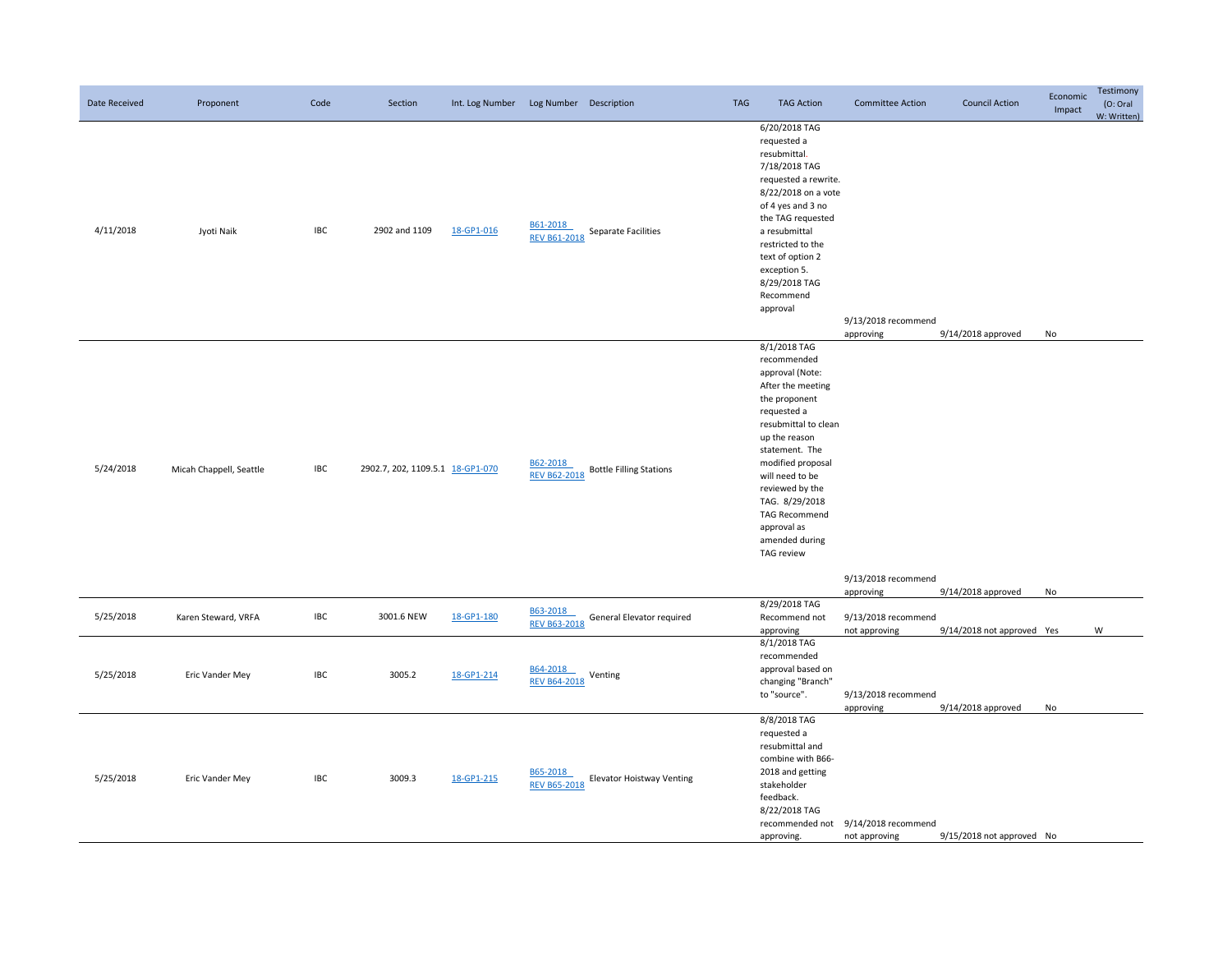| Date Received | Proponent               | Code       | Section                          | Int. Log Number | Log Number Description          |                                  | <b>TAG</b> | <b>TAG Action</b>                                                                                                                                                                                                                                                                                                  | <b>Committee Action</b>                              | <b>Council Action</b>                            | Economic<br>Impact | Testimony<br>(O: Oral<br>W: Written) |
|---------------|-------------------------|------------|----------------------------------|-----------------|---------------------------------|----------------------------------|------------|--------------------------------------------------------------------------------------------------------------------------------------------------------------------------------------------------------------------------------------------------------------------------------------------------------------------|------------------------------------------------------|--------------------------------------------------|--------------------|--------------------------------------|
| 4/11/2018     | Jyoti Naik              | <b>IBC</b> | 2902 and 1109                    | 18-GP1-016      | B61-2018<br><b>REV B61-2018</b> | Separate Facilities              |            | 6/20/2018 TAG<br>requested a<br>resubmittal.<br>7/18/2018 TAG<br>requested a rewrite.<br>8/22/2018 on a vote<br>of 4 yes and 3 no<br>the TAG requested<br>a resubmittal<br>restricted to the<br>text of option 2<br>exception 5.<br>8/29/2018 TAG<br>Recommend<br>approval                                         | 9/13/2018 recommend<br>approving                     | 9/14/2018 approved                               | No                 |                                      |
| 5/24/2018     | Micah Chappell, Seattle | <b>IBC</b> | 2902.7, 202, 1109.5.1 18-GP1-070 |                 | B62-2018<br><b>REV B62-2018</b> | <b>Bottle Filling Stations</b>   |            | 8/1/2018 TAG<br>recommended<br>approval (Note:<br>After the meeting<br>the proponent<br>requested a<br>resubmittal to clean<br>up the reason<br>statement. The<br>modified proposal<br>will need to be<br>reviewed by the<br>TAG. 8/29/2018<br><b>TAG Recommend</b><br>approval as<br>amended during<br>TAG review | 9/13/2018 recommend                                  |                                                  |                    |                                      |
| 5/25/2018     | Karen Steward, VRFA     | <b>IBC</b> | 3001.6 NEW                       | 18-GP1-180      | B63-2018<br><b>REV B63-2018</b> | General Elevator required        |            | 8/29/2018 TAG<br>Recommend not                                                                                                                                                                                                                                                                                     | approving<br>9/13/2018 recommend                     | 9/14/2018 approved<br>9/14/2018 not approved Yes | No                 | W                                    |
| 5/25/2018     | Eric Vander Mey         | IBC        | 3005.2                           | 18-GP1-214      | B64-2018<br><b>REV B64-2018</b> | Venting                          |            | approving<br>8/1/2018 TAG<br>recommended<br>approval based on<br>changing "Branch"<br>to "source".                                                                                                                                                                                                                 | not approving<br>9/13/2018 recommend<br>approving    | 9/14/2018 approved                               | No                 |                                      |
| 5/25/2018     | Eric Vander Mey         | <b>IBC</b> | 3009.3                           | 18-GP1-215      | B65-2018<br><b>REV B65-2018</b> | <b>Elevator Hoistway Venting</b> |            | 8/8/2018 TAG<br>requested a<br>resubmittal and<br>combine with B66-<br>2018 and getting<br>stakeholder<br>feedback.<br>8/22/2018 TAG<br>approving.                                                                                                                                                                 | recommended not 9/14/2018 recommend<br>not approving | 9/15/2018 not approved No                        |                    |                                      |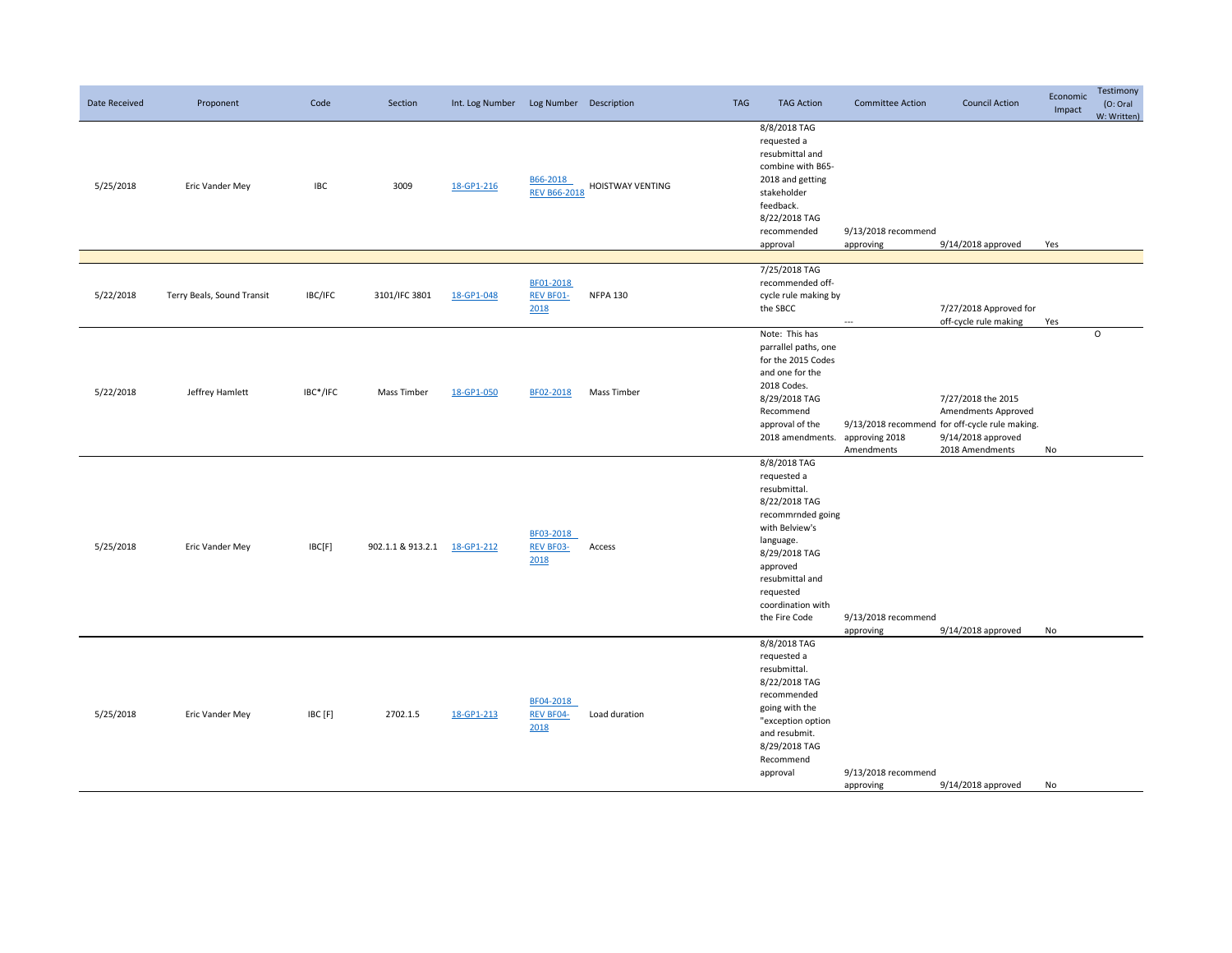| Date Received | Proponent                  | Code       | Section                      | Int. Log Number Log Number Description |                                       |                         | <b>TAG</b> | <b>TAG Action</b>                                                                                                                                                                                                   | <b>Committee Action</b>          | <b>Council Action</b>                                                                                                                | Economic<br>Impact | Testimony<br>(O: Oral<br>W: Written) |
|---------------|----------------------------|------------|------------------------------|----------------------------------------|---------------------------------------|-------------------------|------------|---------------------------------------------------------------------------------------------------------------------------------------------------------------------------------------------------------------------|----------------------------------|--------------------------------------------------------------------------------------------------------------------------------------|--------------------|--------------------------------------|
| 5/25/2018     | Eric Vander Mey            | <b>IBC</b> | 3009                         | 18-GP1-216                             | B66-2018<br><b>REV B66-2018</b>       | <b>HOISTWAY VENTING</b> |            | 8/8/2018 TAG<br>requested a<br>resubmittal and<br>combine with B65-<br>2018 and getting<br>stakeholder<br>feedback.<br>8/22/2018 TAG<br>recommended<br>approval                                                     | 9/13/2018 recommend<br>approving | 9/14/2018 approved                                                                                                                   | Yes                |                                      |
| 5/22/2018     | Terry Beals, Sound Transit | IBC/IFC    | 3101/IFC 3801                | 18-GP1-048                             | BF01-2018<br>REV BF01-<br>2018        | <b>NFPA 130</b>         |            | 7/25/2018 TAG<br>recommended off-<br>cycle rule making by<br>the SBCC                                                                                                                                               | ---                              | 7/27/2018 Approved for<br>off-cycle rule making                                                                                      | Yes                |                                      |
| 5/22/2018     | Jeffrey Hamlett            | IBC*/IFC   | Mass Timber                  | 18-GP1-050                             | BF02-2018                             | Mass Timber             |            | Note: This has<br>parrallel paths, one<br>for the 2015 Codes<br>and one for the<br>2018 Codes.<br>8/29/2018 TAG<br>Recommend<br>approval of the<br>2018 amendments.                                                 | approving 2018<br>Amendments     | 7/27/2018 the 2015<br>Amendments Approved<br>9/13/2018 recommend for off-cycle rule making.<br>9/14/2018 approved<br>2018 Amendments | No                 | $\circ$                              |
| 5/25/2018     | Eric Vander Mey            | IBC[F]     | 902.1.1 & 913.2.1 18-GP1-212 |                                        | BF03-2018<br><b>REV BF03-</b><br>2018 | Access                  |            | 8/8/2018 TAG<br>requested a<br>resubmittal.<br>8/22/2018 TAG<br>recommrnded going<br>with Belview's<br>language.<br>8/29/2018 TAG<br>approved<br>resubmittal and<br>requested<br>coordination with<br>the Fire Code | 9/13/2018 recommend<br>approving | 9/14/2018 approved                                                                                                                   | No                 |                                      |
| 5/25/2018     | Eric Vander Mey            | IBC [F]    | 2702.1.5                     | 18-GP1-213                             | BF04-2018<br><b>REV BF04-</b><br>2018 | Load duration           |            | 8/8/2018 TAG<br>requested a<br>resubmittal.<br>8/22/2018 TAG<br>recommended<br>going with the<br>"exception option<br>and resubmit.<br>8/29/2018 TAG<br>Recommend<br>approval                                       | 9/13/2018 recommend<br>approving | 9/14/2018 approved                                                                                                                   | No                 |                                      |